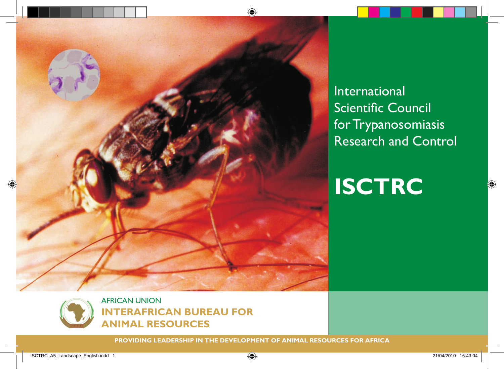

International Scientific Council for Trypanosomiasis Research and Control

**ISCTRC**



**PROVIDING LEADERSHIP IN THE DEVELOPMENT OF ANIMAL RESOURCES FOR AFRICA**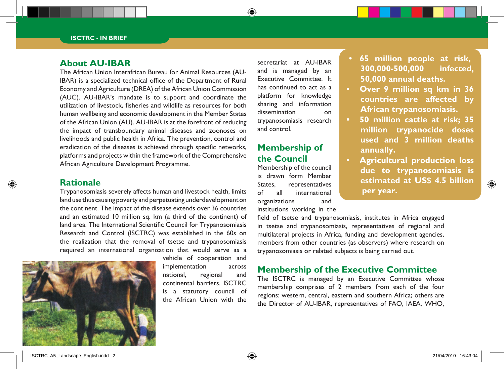#### **About AU-IBAR**

The African Union Interafrican Bureau for Animal Resources (AU-IBAR) is a specialized technical office of the Department of Rural Economy and Agriculture (DREA) of the African Union Commission (AUC). AU-IBAR's mandate is to support and coordinate the utilization of livestock, fisheries and wildlife as resources for both human wellbeing and economic development in the Member States of the African Union (AU). AU-IBAR is at the forefront of reducing the impact of transboundary animal diseases and zoonoses on livelihoods and public health in Africa. The prevention, control and eradication of the diseases is achieved through specific networks, platforms and projects within the framework of the Comprehensive African Agriculture Development Programme.

#### **Rationale**

Trypanosomiasis severely affects human and livestock health, limits land use thus causing poverty and perpetuating underdevelopment on the continent. The impact of the disease extends over 36 countries and an estimated 10 million sq. km (a third of the continent) of land area. The International Scientific Council for Trypanosomiasis Research and Control (ISCTRC) was established in the 60s on the realization that the removal of tsetse and trypanosomiasis required an international organization that would serve as a



vehicle of cooperation and implementation across national, regional and continental barriers. ISCTRC is a statutory council of the African Union with the secretariat at AU-IBAR and is managed by an Executive Committee. It has continued to act as a platform for knowledge sharing and information dissemination on trypanosomiasis research and control.

### **Membership of the Council**

Membership of the council is drawn form Member States, representatives of all international organizations and institutions working in the

field of tsetse and trypanosomiasis, institutes in Africa engaged in tsetse and trypanosomiasis, representatives of regional and multilateral projects in Africa, funding and development agencies, members from other countries (as observers) where research on trypanosomiasis or related subjects is being carried out.

#### **Membership of the Executive Committee**

The ISCTRC is managed by an Executive Committee whose membership comprises of 2 members from each of the four regions: western, central, eastern and southern Africa; others are the Director of AU-IBAR, representatives of FAO, IAEA, WHO,

- **65 million people at risk, 300,000-500,000 infected, 50,000 annual deaths.**
- **Over 9 million sq km in 36 countries are affected by African trypanosomiasis.**
- **• 50 million cattle at risk; 35 million trypanocide doses used and 3 million deaths annually.**
- **Agricultural production loss due to trypanosomiasis is estimated at US\$ 4.5 billion per year.**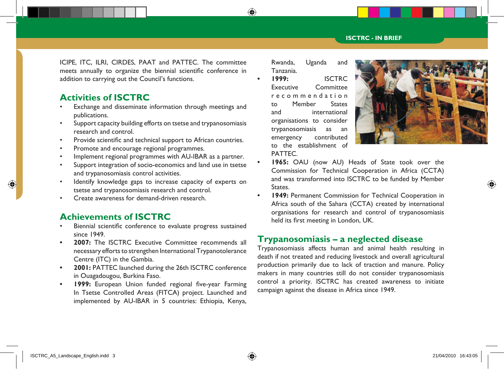ICIPE, ITC, ILRI, CIRDES, PAAT and PATTEC. The committee meets annually to organize the biennial scientific conference in addition to carrying out the Council's functions.

### **Activities of ISCTRC**

- Exchange and disseminate information through meetings and publications.
- Support capacity building efforts on tsetse and trypanosomiasis research and control.
- Provide scientific and technical support to African countries.
- Promote and encourage regional programmes.
- Implement regional programmes with AU-IBAR as a partner.
- Support integration of socio-economics and land use in tsetse and trypanosomiasis control activities.
- Identify knowledge gaps to increase capacity of experts on tsetse and trypanosomiasis research and control.
- Create awareness for demand-driven research.

### **Achievements of ISCTRC**

- Biennial scientific conference to evaluate progress sustained since 1949.
- **2007:** The ISCTRC Executive Committee recommends all necessary efforts to strengthen International Trypanotolerance Centre (ITC) in the Gambia.
- **2001: PATTEC launched during the 26th ISCTRC conference** in Ouagadougou, Burkina Faso.
- **• 1999:** European Union funded regional five-year Farming In Tsetse Controlled Areas (FITCA) project. Launched and implemented by AU-IBAR in 5 countries: Ethiopia, Kenya,

Rwanda, Uganda and Tanzania.

**• 1999:** ISCTRC Executive Committee r e c o m m e n d a t i o n to Member States and international organisations to consider trypanosomiasis as an emergency contributed to the establishment of PATTEC.



- **1965:** OAU (now AU) Heads of State took over the Commission for Technical Cooperation in Africa (CCTA) and was transformed into ISCTRC to be funded by Member States.
- **1949: Permanent Commission for Technical Cooperation in** Africa south of the Sahara (CCTA) created by international organisations for research and control of trypanosomiasis held its first meeting in London, UK.

#### **Trypanosomiasis – a neglected disease**

Trypanosomiasis affects human and animal health resulting in death if not treated and reducing livestock and overall agricultural production primarily due to lack of traction and manure. Policy makers in many countries still do not consider trypanosomiasis control a priority. ISCTRC has created awareness to initiate campaign against the disease in Africa since 1949.